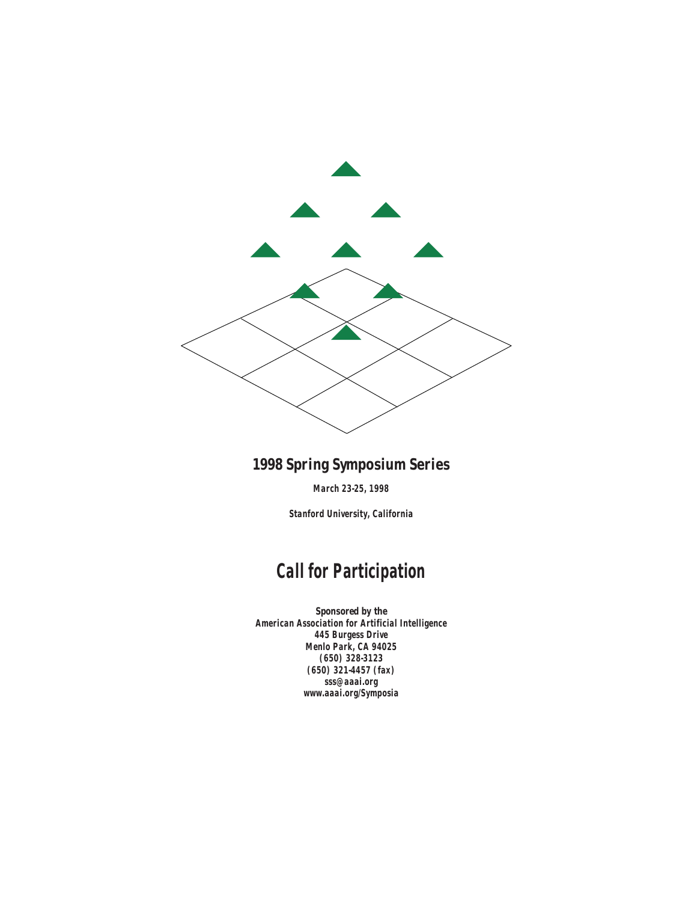

## **1998 Spring Symposium Series**

**March 23-25, 1998**

**Stanford University, California**

# **Call for Participation**

*Sponsored by the* **American Association for Artificial Intelligence 445 Burgess Drive Menlo Park, CA 94025 (650) 328-3123 (650) 321-4457 (fax) sss@aaai.org www.aaai.org/Symposia**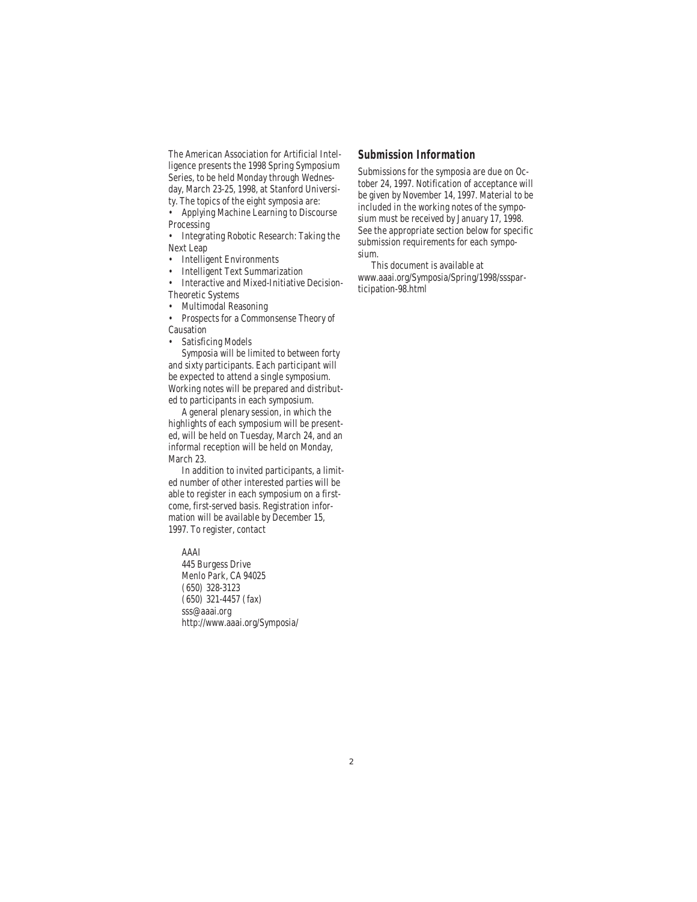The American Association for Artificial Intelligence presents the 1998 Spring Symposium Series, to be held Monday through Wednesday, March 23-25, 1998, at Stanford Universi-

ty. The topics of the eight symposia are:

• Applying Machine Learning to Discourse Processing

• Integrating Robotic Research: Taking the Next Leap

• Intelligent Environments

• Intelligent Text Summarization

• Interactive and Mixed-Initiative Decision-Theoretic Systems

• Multimodal Reasoning

• Prospects for a Commonsense Theory of Causation

• Satisficing Models

Symposia will be limited to between forty and sixty participants. Each participant will be expected to attend a single symposium. Working notes will be prepared and distributed to participants in each symposium.

A general plenary session, in which the highlights of each symposium will be presented, will be held on Tuesday, March 24, and an informal reception will be held on Monday, March 23.

In addition to invited participants, a limited number of other interested parties will be able to register in each symposium on a firstcome, first-served basis. Registration information will be available by December 15, 1997. To register, contact

AAAI 445 Burgess Drive Menlo Park, CA 94025 (650) 328-3123 (650) 321-4457 (fax) sss@aaai.org

http://www.aaai.org/Symposia/

### **Submission Information**

Submissions for the symposia are due on October 24, 1997. Notification of acceptance will be given by November 14, 1997. Material to be included in the working notes of the symposium must be received by January 17, 1998. See the appropriate section below for specific submission requirements for each symposium.

This document is available at www.aaai.org/Symposia/Spring/1998/sssparticipation-98.html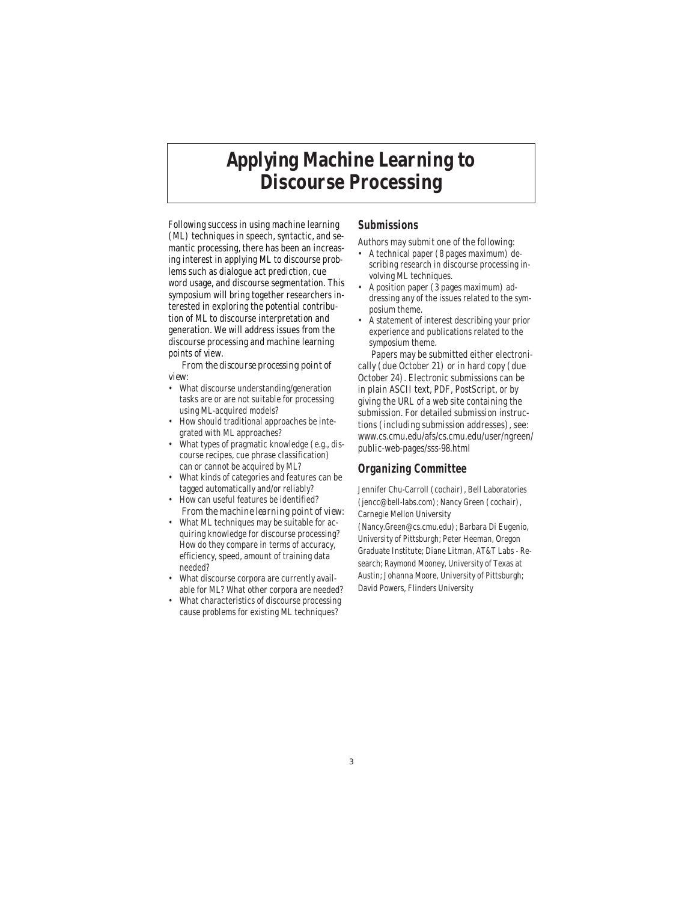# **Applying Machine Learning to Discourse Processing**

Following success in using machine learning (ML) techniques in speech, syntactic, and semantic processing, there has been an increasing interest in applying ML to discourse problems such as dialogue act prediction, cue word usage, and discourse segmentation. This symposium will bring together researchers interested in exploring the potential contribution of ML to discourse interpretation and generation. We will address issues from the discourse processing and machine learning points of view.

*From the discourse processing point of view:*

- What discourse understanding/generation tasks are or are not suitable for processing using ML-acquired models?
- How should traditional approaches be integrated with ML approaches?
- What types of pragmatic knowledge (e.g., discourse recipes, cue phrase classification) can or cannot be acquired by ML?
- What kinds of categories and features can be tagged automatically and/or reliably?
- How can useful features be identified? *From the machine learning point of view:*
- What ML techniques may be suitable for acquiring knowledge for discourse processing? How do they compare in terms of accuracy, efficiency, speed, amount of training data needed?
- What discourse corpora are currently available for ML? What other corpora are needed?
- What characteristics of discourse processing cause problems for existing ML techniques?

## **Submissions**

Authors may submit one of the following:

- A technical paper (8 pages maximum) describing research in discourse processing involving ML techniques.
- A position paper (3 pages maximum) addressing any of the issues related to the symposium theme.
- A statement of interest describing your prior experience and publications related to the symposium theme.

Papers may be submitted either electronically (due October 21) or in hard copy (due October 24). Electronic submissions can be in plain ASCII text, PDF, PostScript, or by giving the URL of a web site containing the submission. For detailed submission instructions (including submission addresses), see: www.cs.cmu.edu/afs/cs.cmu.edu/user/ngreen/ public-web-pages/sss-98.html

### **Organizing Committee**

Jennifer Chu-Carroll (cochair), Bell Laboratories (jencc@bell-labs.com); Nancy Green (cochair), Carnegie Mellon University (Nancy.Green@cs.cmu.edu); Barbara Di Eugenio, University of Pittsburgh; Peter Heeman, Oregon Graduate Institute; Diane Litman, AT&T Labs - Research; Raymond Mooney, University of Texas at Austin; Johanna Moore, University of Pittsburgh; David Powers, Flinders University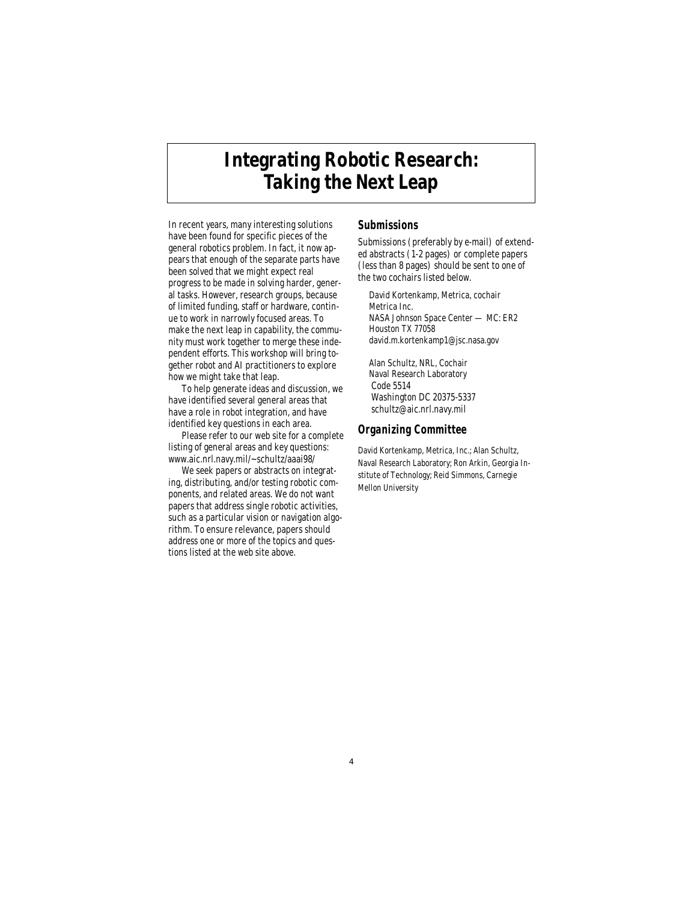# **Integrating Robotic Research: Taking the Next Leap**

In recent years, many interesting solutions have been found for specific pieces of the general robotics problem. In fact, it now appears that enough of the separate parts have been solved that we might expect real progress to be made in solving harder, general tasks. However, research groups, because of limited funding, staff or hardware, continue to work in narrowly focused areas. To make the next leap in capability, the community must work together to merge these independent efforts. This workshop will bring together robot and AI practitioners to explore how we might take that leap.

To help generate ideas and discussion, we have identified several general areas that have a role in robot integration, and have identified key questions in each area.

Please refer to our web site for a complete listing of general areas and key questions: www.aic.nrl.navy.mil/~schultz/aaai98/

We seek papers or abstracts on integrating, distributing, and/or testing robotic components, and related areas. We do not want papers that address single robotic activities, such as a particular vision or navigation algorithm. To ensure relevance, papers should address one or more of the topics and questions listed at the web site above.

### **Submissions**

Submissions (preferably by e-mail) of extended abstracts (1-2 pages) or complete papers (less than 8 pages) should be sent to one of the two cochairs listed below.

David Kortenkamp, Metrica, cochair Metrica Inc. NASA Johnson Space Center — MC: ER2 Houston TX 77058 david.m.kortenkamp1@jsc.nasa.gov

Alan Schultz, NRL, Cochair Naval Research Laboratory Code 5514 Washington DC 20375-5337 schultz@aic.nrl.navy.mil

#### **Organizing Committee**

David Kortenkamp, Metrica, Inc.; Alan Schultz, Naval Research Laboratory; Ron Arkin, Georgia Institute of Technology; Reid Simmons, Carnegie Mellon University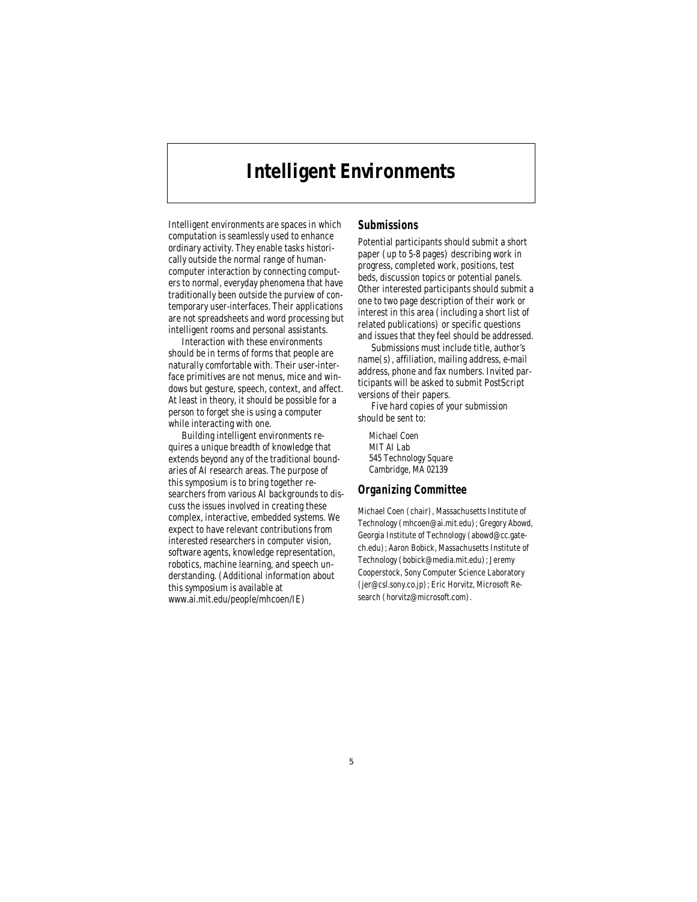# **Intelligent Environments**

Intelligent environments are spaces in which computation is seamlessly used to enhance ordinary activity. They enable tasks historically outside the normal range of humancomputer interaction by connecting computers to normal, everyday phenomena that have traditionally been outside the purview of contemporary user-interfaces. Their applications are not spreadsheets and word processing but intelligent rooms and personal assistants.

Interaction with these environments should be in terms of forms that people are naturally comfortable with. Their user-interface primitives are not menus, mice and windows but gesture, speech, context, and affect. At least in theory, it should be possible for a person to forget she is using a computer while interacting with one.

Building intelligent environments requires a unique breadth of knowledge that extends beyond any of the traditional boundaries of AI research areas. The purpose of this symposium is to bring together researchers from various AI backgrounds to discuss the issues involved in creating these complex, interactive, embedded systems. We expect to have relevant contributions from interested researchers in computer vision, software agents, knowledge representation, robotics, machine learning, and speech understanding. (Additional information about this symposium is available at www.ai.mit.edu/people/mhcoen/IE)

### **Submissions**

Potential participants should submit a short paper (up to 5-8 pages) describing work in progress, completed work, positions, test beds, discussion topics or potential panels. Other interested participants should submit a one to two page description of their work or interest in this area (including a short list of related publications) or specific questions and issues that they feel should be addressed.

Submissions must include title, author's name(s), affiliation, mailing address, e-mail address, phone and fax numbers. Invited participants will be asked to submit PostScript versions of their papers.

Five hard copies of your submission should be sent to:

Michael Coen MIT AI Lab 545 Technology Square Cambridge, MA 02139

### **Organizing Committee**

Michael Coen (chair), Massachusetts Institute of Technology (mhcoen@ai.mit.edu); Gregory Abowd, Georgia Institute of Technology (abowd@cc.gatech.edu); Aaron Bobick, Massachusetts Institute of Technology (bobick@media.mit.edu); Jeremy Cooperstock, Sony Computer Science Laboratory (jer@csl.sony.co.jp); Eric Horvitz, Microsoft Research (horvitz@microsoft.com).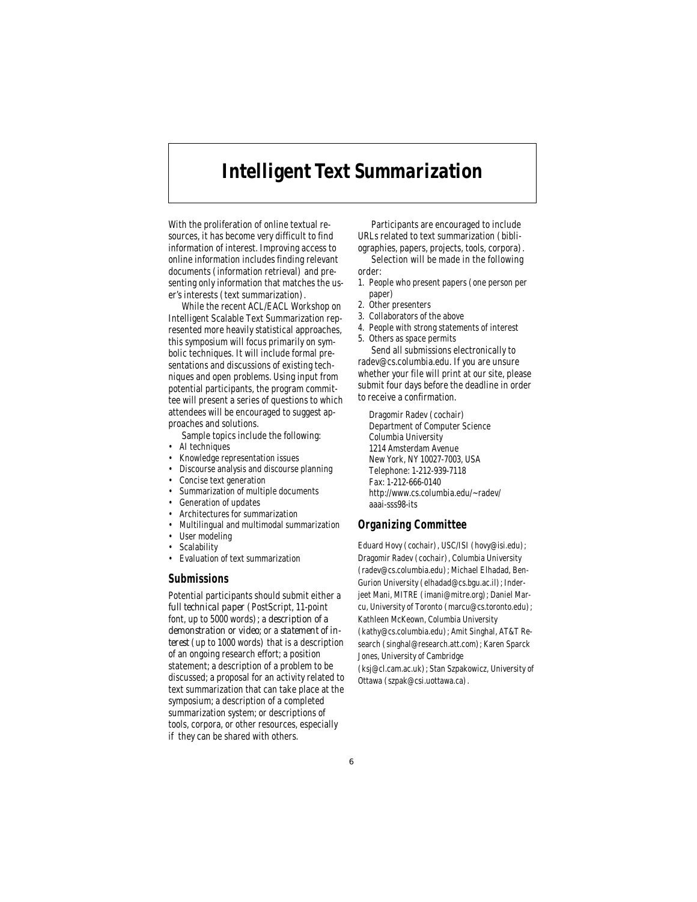# **Intelligent Text Summarization**

With the proliferation of online textual resources, it has become very difficult to find information of interest. Improving access to online information includes finding relevant documents (information retrieval) and presenting only information that matches the user's interests (text summarization).

While the recent ACL/EACL Workshop on Intelligent Scalable Text Summarization represented more heavily statistical approaches, this symposium will focus primarily on symbolic techniques. It will include formal presentations and discussions of existing techniques and open problems. Using input from potential participants, the program committee will present a series of questions to which attendees will be encouraged to suggest approaches and solutions.

Sample topics include the following:

- AI techniques
- Knowledge representation issues
- Discourse analysis and discourse planning
- Concise text generation Summarization of multiple documents
- Generation of updates
- Architectures for summarization
- Multilingual and multimodal summarization
- User modeling
- **Scalability**
- Evaluation of text summarization

#### **Submissions**

Potential participants should submit either a *full technical paper* (PostScript, 11-point font, up to 5000 words); a *description of a demonstration or video*; or a *statement of interest* (up to 1000 words) that is a description of an ongoing research effort; a position statement; a description of a problem to be discussed; a proposal for an activity related to text summarization that can take place at the symposium; a description of a completed summarization system; or descriptions of tools, corpora, or other resources, especially if they can be shared with others.

Participants are encouraged to include URLs related to text summarization (bibliographies, papers, projects, tools, corpora).

Selection will be made in the following order:

- 1. People who present papers (one person per paper)
- 2. Other presenters
- 3. Collaborators of the above
- 4. People with strong statements of interest
- 5. Others as space permits Send all submissions electronically to

radev@cs.columbia.edu. If you are unsure whether your file will print at our site, please submit four days before the deadline in order to receive a confirmation.

Dragomir Radev (cochair) Department of Computer Science Columbia University 1214 Amsterdam Avenue New York, NY 10027-7003, USA Telephone: 1-212-939-7118 Fax: 1-212-666-0140 http://www.cs.columbia.edu/~radev/ aaai-sss98-its

### **Organizing Committee**

Eduard Hovy (cochair), USC/ISI (hovy@isi.edu); Dragomir Radev (cochair), Columbia University (radev@cs.columbia.edu); Michael Elhadad, Ben-Gurion University (elhadad@cs.bgu.ac.il); Inderjeet Mani, MITRE (imani@mitre.org); Daniel Marcu, University of Toronto (marcu@cs.toronto.edu); Kathleen McKeown, Columbia University (kathy@cs.columbia.edu); Amit Singhal, AT&T Research (singhal@research.att.com); Karen Sparck Jones, University of Cambridge (ksj@cl.cam.ac.uk); Stan Szpakowicz, University of Ottawa (szpak@csi.uottawa.ca).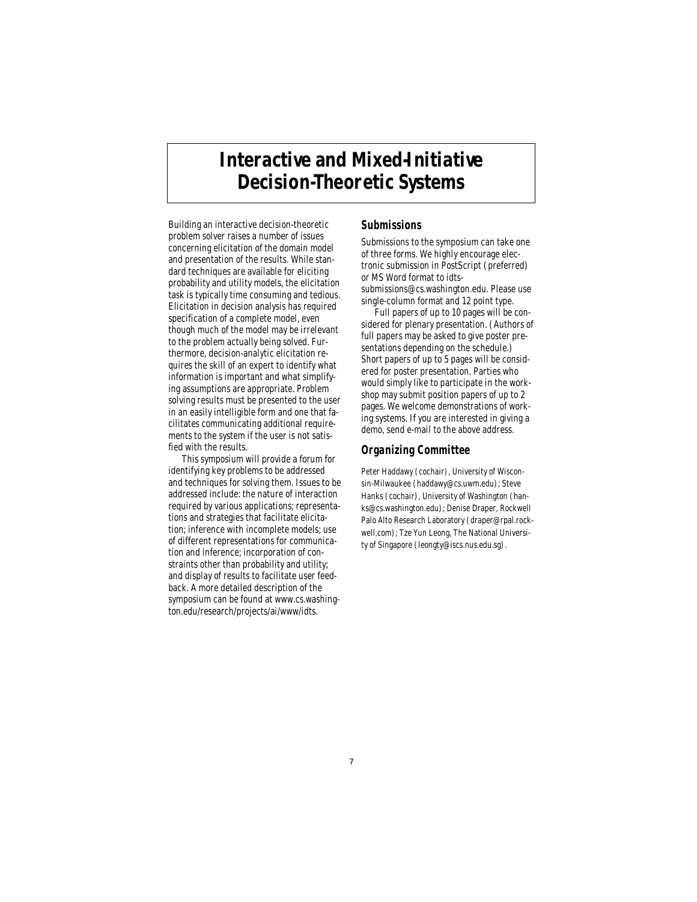# **Interactive and Mixed-Initiative Decision-Theoretic Systems**

Building an interactive decision-theoretic problem solver raises a number of issues concerning elicitation of the domain model and presentation of the results. While standard techniques are available for eliciting probability and utility models, the elicitation task is typically time consuming and tedious. Elicitation in decision analysis has required specification of a complete model, even though much of the model may be irrelevant to the problem actually being solved. Furthermore, decision-analytic elicitation requires the skill of an expert to identify what information is important and what simplifying assumptions are appropriate. Problem solving results must be presented to the user in an easily intelligible form and one that facilitates communicating additional requirements to the system if the user is not satisfied with the results.

This symposium will provide a forum for identifying key problems to be addressed and techniques for solving them. Issues to be addressed include: the nature of interaction required by various applications; representations and strategies that facilitate elicitation; inference with incomplete models; use of different representations for communication and inference; incorporation of constraints other than probability and utility; and display of results to facilitate user feedback. A more detailed description of the symposium can be found at www.cs.washington.edu/research/projects/ai/www/idts.

### **Submissions**

Submissions to the symposium can take one of three forms. We highly encourage electronic submission in PostScript (preferred) or MS Word format to idts-

submissions@cs.washington.edu. Please use single-column format and 12 point type.

Full papers of up to 10 pages will be considered for plenary presentation. (Authors of full papers may be asked to give poster presentations depending on the schedule.) Short papers of up to 5 pages will be considered for poster presentation. Parties who would simply like to participate in the workshop may submit position papers of up to 2 pages. We welcome demonstrations of working systems. If you are interested in giving a demo, send e-mail to the above address.

### **Organizing Committee**

Peter Haddawy (cochair), University of Wisconsin-Milwaukee (haddawy@cs.uwm.edu); Steve Hanks (cochair), University of Washington (hanks@cs.washington.edu); Denise Draper, Rockwell Palo Alto Research Laboratory (draper@rpal.rockwell.com); Tze Yun Leong, The National University of Singapore (leongty@iscs.nus.edu.sg).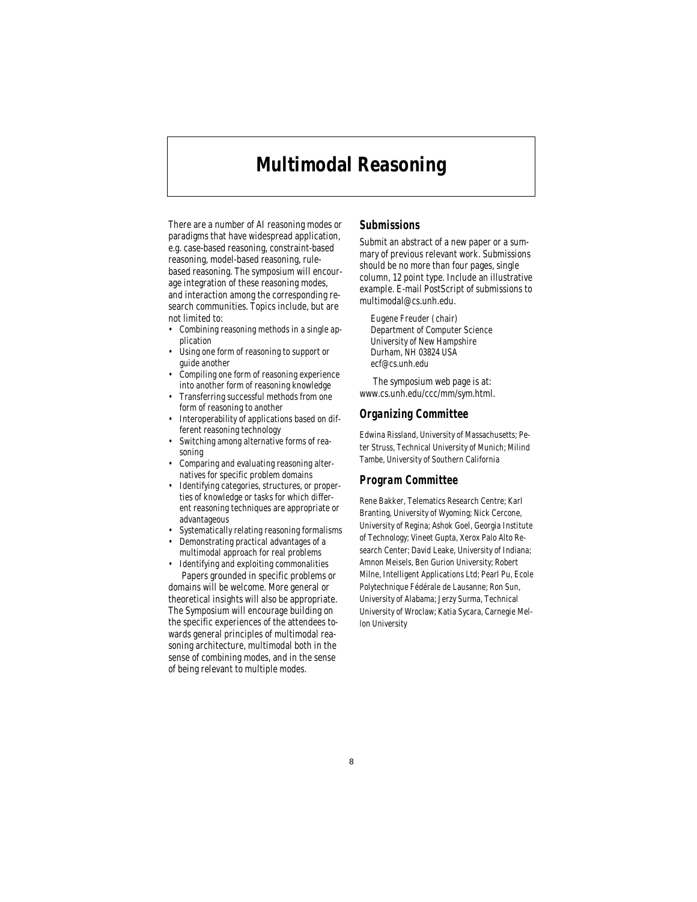## **Multimodal Reasoning**

There are a number of AI reasoning modes or paradigms that have widespread application, e.g. case-based reasoning, constraint-based reasoning, model-based reasoning, rulebased reasoning. The symposium will encourage integration of these reasoning modes, and interaction among the corresponding research communities. Topics include, but are not limited to:

- Combining reasoning methods in a single application
- Using one form of reasoning to support or guide another
- Compiling one form of reasoning experience into another form of reasoning knowledge
- Transferring successful methods from one form of reasoning to another
- Interoperability of applications based on different reasoning technology
- Switching among alternative forms of reasoning
- Comparing and evaluating reasoning alternatives for specific problem domains
- Identifying categories, structures, or properties of knowledge or tasks for which different reasoning techniques are appropriate or advantageous
- Systematically relating reasoning formalisms
- Demonstrating practical advantages of a multimodal approach for real problems

• Identifying and exploiting commonalities Papers grounded in specific problems or domains will be welcome. More general or theoretical insights will also be appropriate. The Symposium will encourage building on the specific experiences of the attendees towards general principles of multimodal reasoning architecture, multimodal both in the sense of combining modes, and in the sense of being relevant to multiple modes.

### **Submissions**

Submit an abstract of a new paper or a summary of previous relevant work. Submissions should be no more than four pages, single column, 12 point type. Include an illustrative example. E-mail PostScript of submissions to multimodal@cs.unh.edu.

Eugene Freuder (chair) Department of Computer Science University of New Hampshire Durham, NH 03824 USA ecf@cs.unh.edu

The symposium web page is at: www.cs.unh.edu/ccc/mm/sym.html.

#### **Organizing Committee**

Edwina Rissland, University of Massachusetts; Peter Struss, Technical University of Munich; Milind Tambe, University of Southern California

#### **Program Committee**

Rene Bakker, Telematics Research Centre; Karl Branting, University of Wyoming; Nick Cercone, University of Regina; Ashok Goel, Georgia Institute of Technology; Vineet Gupta, Xerox Palo Alto Research Center; David Leake, University of Indiana; Amnon Meisels, Ben Gurion University; Robert Milne, Intelligent Applications Ltd; Pearl Pu, Ecole Polytechnique Fédérale de Lausanne; Ron Sun, University of Alabama; Jerzy Surma, Technical University of Wroclaw; Katia Sycara, Carnegie Mellon University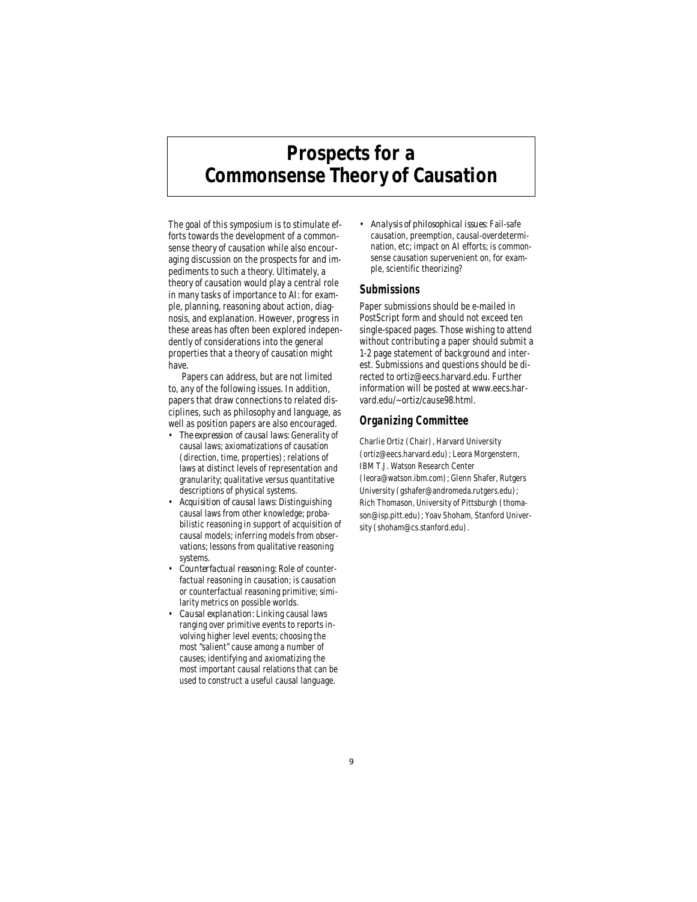# **Prospects for a Commonsense Theory of Causation**

The goal of this symposium is to stimulate efforts towards the development of a commonsense theory of causation while also encouraging discussion on the prospects for and impediments to such a theory. Ultimately, a theory of causation would play a central role in many tasks of importance to AI: for example, planning, reasoning about action, diagnosis, and explanation. However, progress in these areas has often been explored independently of considerations into the general properties that a theory of causation might have.

Papers can address, but are not limited to, any of the following issues. In addition, papers that draw connections to related disciplines, such as philosophy and language, as well as position papers are also encouraged.

- *The expression of causal laws:* Generality of causal laws; axiomatizations of causation (direction, time, properties); relations of laws at distinct levels of representation and granularity; qualitative versus quantitative descriptions of physical systems.
- *Acquisition of causal laws:* Distinguishing causal laws from other knowledge; probabilistic reasoning in support of acquisition of causal models; inferring models from observations; lessons from qualitative reasoning systems.
- *Counterfactual reasoning:* Role of counterfactual reasoning in causation; is causation or counterfactual reasoning primitive; similarity metrics on possible worlds.
- *Causal explanation:* Linking causal laws ranging over primitive events to reports involving higher level events; choosing the most "salient" cause among a number of causes; identifying and axiomatizing the most important causal relations that can be used to construct a useful causal language.

• *Analysis of philosophical issues:* Fail-safe causation, preemption, causal-overdetermination, etc; impact on AI efforts; is commonsense causation supervenient on, for example, scientific theorizing?

#### **Submissions**

Paper submissions should be e-mailed in PostScript form and should not exceed ten single-spaced pages. Those wishing to attend without contributing a paper should submit a 1-2 page statement of background and interest. Submissions and questions should be directed to ortiz@eecs.harvard.edu. Further information will be posted at www.eecs.harvard.edu/~ortiz/cause98.html.

#### **Organizing Committee**

Charlie Ortiz (Chair), Harvard University (ortiz@eecs.harvard.edu); Leora Morgenstern, IBM T.J. Watson Research Center (leora@watson.ibm.com); Glenn Shafer, Rutgers University (gshafer@andromeda.rutgers.edu); Rich Thomason, University of Pittsburgh (thomason@isp.pitt.edu); Yoav Shoham, Stanford University (shoham@cs.stanford.edu).